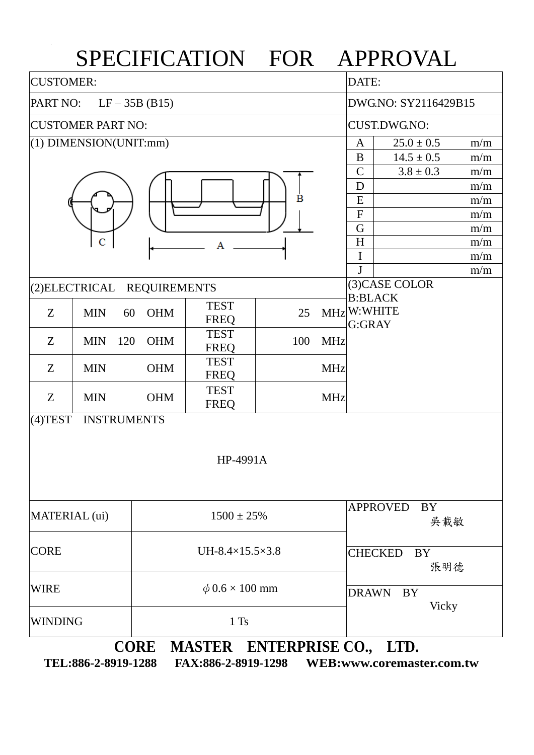## SPECIFICATION FOR APPROVAL

| <b>CUSTOMER:</b>               |                     |                     |                                  |  |     | DATE:                |                                  |                |                           |     |  |
|--------------------------------|---------------------|---------------------|----------------------------------|--|-----|----------------------|----------------------------------|----------------|---------------------------|-----|--|
| PART NO:<br>$LF-35B(B15)$      |                     |                     |                                  |  |     | DWG.NO: SY2116429B15 |                                  |                |                           |     |  |
| <b>CUSTOMER PART NO:</b>       |                     |                     |                                  |  |     | <b>CUST.DWG.NO:</b>  |                                  |                |                           |     |  |
| (1) DIMENSION(UNIT:mm)         |                     |                     |                                  |  |     | A                    | $25.0 \pm 0.5$                   |                | m/m                       |     |  |
|                                |                     |                     |                                  |  |     |                      | B                                | $14.5 \pm 0.5$ |                           | m/m |  |
|                                |                     |                     |                                  |  |     |                      | $\mathcal{C}$                    |                | $3.8 \pm 0.3$             | m/m |  |
| $\dot{\mathbf{B}}$             |                     |                     |                                  |  |     |                      | D                                |                |                           | m/m |  |
|                                |                     |                     |                                  |  |     |                      | ${\bf E}$                        |                |                           | m/m |  |
|                                |                     |                     |                                  |  |     |                      | $\boldsymbol{\mathrm{F}}$        |                |                           | m/m |  |
|                                |                     |                     |                                  |  |     |                      | G                                |                |                           | m/m |  |
| $\mathbf C$<br>A               |                     |                     |                                  |  |     |                      | H                                |                |                           | m/m |  |
|                                |                     |                     |                                  |  |     |                      | I                                |                |                           | m/m |  |
|                                |                     |                     |                                  |  |     |                      | J                                |                |                           | m/m |  |
|                                | (2) ELECTRICAL      | <b>REQUIREMENTS</b> |                                  |  |     |                      | (3) CASE COLOR<br><b>B:BLACK</b> |                |                           |     |  |
| Z                              | <b>MIN</b>          | <b>OHM</b><br>60    | <b>TEST</b><br><b>FREQ</b>       |  | 25  | MHzW:WHITE           |                                  |                |                           |     |  |
|                                |                     |                     |                                  |  |     |                      | G:GRAY                           |                |                           |     |  |
| Z                              | <b>MIN</b>          | 120<br><b>OHM</b>   | <b>TEST</b>                      |  | 100 | <b>MHz</b>           |                                  |                |                           |     |  |
|                                |                     |                     | <b>FREQ</b>                      |  |     |                      |                                  |                |                           |     |  |
| Z                              | <b>MIN</b>          | <b>OHM</b>          | <b>TEST</b>                      |  |     | <b>MHz</b>           |                                  |                |                           |     |  |
|                                |                     |                     | <b>FREQ</b>                      |  |     |                      |                                  |                |                           |     |  |
| Z                              | <b>MIN</b>          | <b>OHM</b>          | <b>TEST</b>                      |  |     | <b>MHz</b>           |                                  |                |                           |     |  |
| $(4)$ TEST                     |                     | <b>INSTRUMENTS</b>  | <b>FREQ</b>                      |  |     |                      |                                  |                |                           |     |  |
|                                |                     |                     |                                  |  |     |                      |                                  |                |                           |     |  |
|                                |                     |                     |                                  |  |     |                      |                                  |                |                           |     |  |
| HP-4991A                       |                     |                     |                                  |  |     |                      |                                  |                |                           |     |  |
|                                |                     |                     |                                  |  |     |                      |                                  |                |                           |     |  |
|                                |                     |                     |                                  |  |     |                      |                                  |                |                           |     |  |
|                                |                     |                     |                                  |  |     |                      | <b>APPROVED</b>                  | BY             |                           |     |  |
| MATERIAL (ui)                  |                     |                     | $1500 \pm 25\%$                  |  |     |                      |                                  |                | 吳載敏                       |     |  |
|                                |                     |                     |                                  |  |     |                      |                                  |                |                           |     |  |
| <b>CORE</b><br>UH-8.4×15.5×3.8 |                     |                     |                                  |  |     | <b>CHECKED</b>       |                                  | BY             |                           |     |  |
|                                |                     |                     |                                  |  |     |                      |                                  |                | 張明德                       |     |  |
|                                |                     |                     |                                  |  |     |                      |                                  |                |                           |     |  |
| WIRE                           |                     |                     | $\phi$ 0.6 × 100 mm              |  |     |                      | <b>DRAWN</b><br><b>BY</b>        |                |                           |     |  |
|                                |                     |                     |                                  |  |     |                      |                                  |                | Vicky                     |     |  |
| WINDING                        |                     |                     | $1$ Ts                           |  |     |                      |                                  |                |                           |     |  |
|                                |                     |                     | CORE MASTER ENTERPRISE CO., LTD. |  |     |                      |                                  |                |                           |     |  |
|                                |                     |                     |                                  |  |     |                      |                                  |                |                           |     |  |
|                                | TEL:886-2-8919-1288 |                     | FAX:886-2-8919-1298              |  |     |                      |                                  |                | WEB:www.coremaster.com.tw |     |  |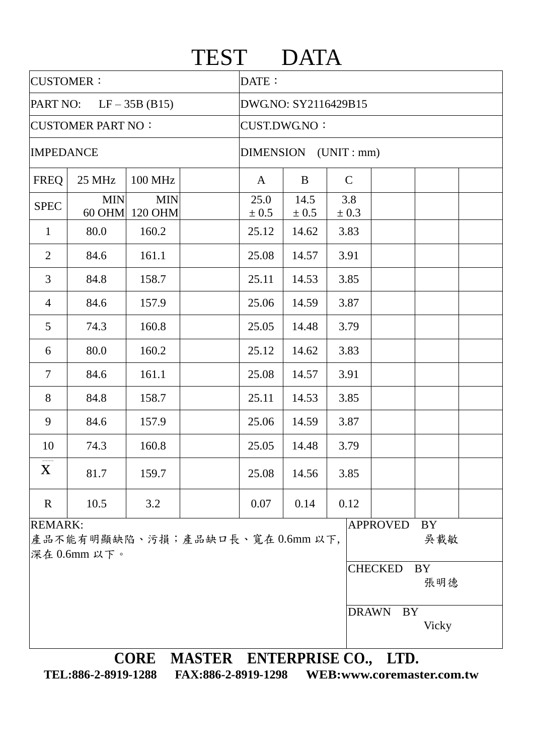| TEST DATA        |                                                 |                       |                      |                      |               |               |                                                                                                                                                                                                                                                                                                                                                                                      |                               |  |
|------------------|-------------------------------------------------|-----------------------|----------------------|----------------------|---------------|---------------|--------------------------------------------------------------------------------------------------------------------------------------------------------------------------------------------------------------------------------------------------------------------------------------------------------------------------------------------------------------------------------------|-------------------------------|--|
| <b>CUSTOMER:</b> |                                                 |                       |                      | DATE:                |               |               |                                                                                                                                                                                                                                                                                                                                                                                      |                               |  |
|                  | PART NO: LF $-35B$ (B15)                        |                       | DWG.NO: SY2116429B15 |                      |               |               |                                                                                                                                                                                                                                                                                                                                                                                      |                               |  |
|                  | <b>CUSTOMER PART NO:</b>                        |                       |                      | <b>CUST.DWG.NO:</b>  |               |               |                                                                                                                                                                                                                                                                                                                                                                                      |                               |  |
| <b>IMPEDANCE</b> |                                                 |                       |                      | DIMENSION (UNIT: mm) |               |               |                                                                                                                                                                                                                                                                                                                                                                                      |                               |  |
| <b>FREQ</b>      | 25 MHz                                          | <b>100 MHz</b>        |                      | $\mathbf{A}$         | B             | $\mathcal{C}$ |                                                                                                                                                                                                                                                                                                                                                                                      |                               |  |
| <b>SPEC</b>      | <b>MIN</b><br>$60$ OHM                          | <b>MIN</b><br>120 OHM |                      | 25.0<br>± 0.5        | 14.5<br>± 0.5 | 3.8<br>± 0.3  |                                                                                                                                                                                                                                                                                                                                                                                      |                               |  |
| $\mathbf{1}$     | 80.0                                            | 160.2                 |                      | 25.12                | 14.62         | 3.83          |                                                                                                                                                                                                                                                                                                                                                                                      |                               |  |
| $\overline{2}$   | 84.6                                            | 161.1                 |                      | 25.08                | 14.57         | 3.91          |                                                                                                                                                                                                                                                                                                                                                                                      |                               |  |
| 3                | 84.8                                            | 158.7                 |                      | 25.11                | 14.53         | 3.85          |                                                                                                                                                                                                                                                                                                                                                                                      |                               |  |
| $\overline{4}$   | 84.6                                            | 157.9                 |                      | 25.06                | 14.59         | 3.87          |                                                                                                                                                                                                                                                                                                                                                                                      |                               |  |
| 5                | 74.3                                            | 160.8                 |                      | 25.05                | 14.48         | 3.79          |                                                                                                                                                                                                                                                                                                                                                                                      |                               |  |
| 6                | 80.0                                            | 160.2                 |                      | 25.12                | 14.62         | 3.83          |                                                                                                                                                                                                                                                                                                                                                                                      |                               |  |
| $\tau$           | 84.6                                            | 161.1                 |                      | 25.08                | 14.57         | 3.91          |                                                                                                                                                                                                                                                                                                                                                                                      |                               |  |
| 8                | 84.8                                            | 158.7                 |                      | 25.11                | 14.53         | 3.85          |                                                                                                                                                                                                                                                                                                                                                                                      |                               |  |
| 9                | 84.6                                            | 157.9                 |                      | 25.06                | 14.59         | 3.87          |                                                                                                                                                                                                                                                                                                                                                                                      |                               |  |
| 10               | 74.3                                            | 160.8                 |                      | 25.05                | 14.48         | 3.79          |                                                                                                                                                                                                                                                                                                                                                                                      |                               |  |
| $\mathbf{X}$     | 81.7                                            | 159.7                 |                      | 25.08                | 14.56         | 3.85          |                                                                                                                                                                                                                                                                                                                                                                                      |                               |  |
| $\mathbf R$      | 10.5                                            | 3.2                   |                      | 0.07                 | 0.14          | 0.12          |                                                                                                                                                                                                                                                                                                                                                                                      |                               |  |
| <b>REMARK:</b>   | 產品不能有明顯缺陷丶污損;產品缺口長丶寬在 0.6mm 以下,<br>深在 0.6mm 以下。 |                       |                      |                      |               |               | <b>APPROVED</b><br><b>CHECKED</b><br><b>DRAWN</b><br>BY                                                                                                                                                                                                                                                                                                                              | <b>BY</b><br>吳載敏<br>BY<br>張明德 |  |
|                  |                                                 |                       |                      |                      |               |               | $\overline{C}$ $\overline{C}$ $\overline{C}$ $\overline{C}$ $\overline{C}$ $\overline{C}$ $\overline{C}$ $\overline{C}$ $\overline{C}$ $\overline{C}$ $\overline{C}$ $\overline{C}$ $\overline{C}$ $\overline{C}$ $\overline{C}$ $\overline{C}$ $\overline{C}$ $\overline{C}$ $\overline{C}$ $\overline{C}$ $\overline{C}$ $\overline{C}$ $\overline{C}$ $\overline{C}$ $\overline{$ | Vicky                         |  |

**CORE MASTER ENTERPRISE CO., LTD.**

**TEL:886-2-8919-1288 FAX:886-2-8919-1298 WEB:www.coremaster.com.tw**